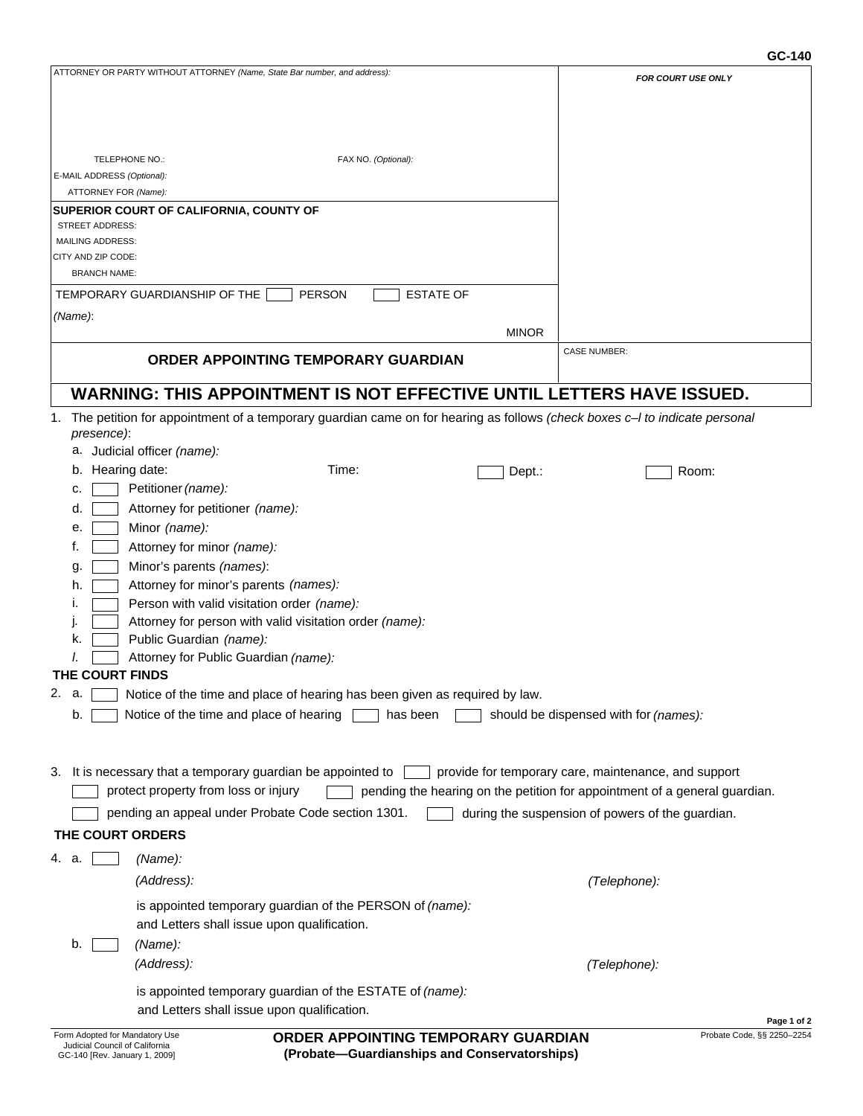## **GC-140**

| ATTORNEY OR PARTY WITHOUT ATTORNEY (Name, State Bar number, and address):                                                                      | <b>FOR COURT USE ONLY</b>                                                  |
|------------------------------------------------------------------------------------------------------------------------------------------------|----------------------------------------------------------------------------|
|                                                                                                                                                |                                                                            |
|                                                                                                                                                |                                                                            |
|                                                                                                                                                |                                                                            |
|                                                                                                                                                |                                                                            |
| FAX NO. (Optional):<br>TELEPHONE NO.:                                                                                                          |                                                                            |
| E-MAIL ADDRESS (Optional):<br>ATTORNEY FOR (Name):                                                                                             |                                                                            |
| SUPERIOR COURT OF CALIFORNIA, COUNTY OF                                                                                                        |                                                                            |
| <b>STREET ADDRESS:</b>                                                                                                                         |                                                                            |
| <b>MAILING ADDRESS:</b>                                                                                                                        |                                                                            |
| CITY AND ZIP CODE:                                                                                                                             |                                                                            |
| <b>BRANCH NAME:</b>                                                                                                                            |                                                                            |
| <b>PERSON</b><br><b>ESTATE OF</b><br>TEMPORARY GUARDIANSHIP OF THE                                                                             |                                                                            |
| (Name):                                                                                                                                        |                                                                            |
| <b>MINOR</b>                                                                                                                                   |                                                                            |
| ORDER APPOINTING TEMPORARY GUARDIAN                                                                                                            | <b>CASE NUMBER:</b>                                                        |
|                                                                                                                                                |                                                                            |
| <b>WARNING: THIS APPOINTMENT IS NOT EFFECTIVE UNTIL LETTERS HAVE ISSUED.</b>                                                                   |                                                                            |
|                                                                                                                                                |                                                                            |
| The petition for appointment of a temporary guardian came on for hearing as follows (check boxes c- I to indicate personal<br>1.<br>presence): |                                                                            |
| Judicial officer (name):                                                                                                                       |                                                                            |
| b. Hearing date:<br>Time:<br>Dept.:                                                                                                            | Room:                                                                      |
| Petitioner (name):<br>c.                                                                                                                       |                                                                            |
| Attorney for petitioner (name):<br>d.                                                                                                          |                                                                            |
| Minor (name):<br>е.                                                                                                                            |                                                                            |
| Attorney for minor (name):<br>t.                                                                                                               |                                                                            |
|                                                                                                                                                |                                                                            |
| Minor's parents (names):<br>g.                                                                                                                 |                                                                            |
| Attorney for minor's parents (names):<br>h.                                                                                                    |                                                                            |
| Person with valid visitation order (name):<br>Attorney for person with valid visitation order (name):                                          |                                                                            |
| Public Guardian (name):<br>k.                                                                                                                  |                                                                            |
| Attorney for Public Guardian (name):                                                                                                           |                                                                            |
| THE COURT FINDS                                                                                                                                |                                                                            |
| Notice of the time and place of hearing has been given as required by law.                                                                     |                                                                            |
| Notice of the time and place of hearing<br>has been<br>b.                                                                                      | should be dispensed with for (names):                                      |
|                                                                                                                                                |                                                                            |
|                                                                                                                                                |                                                                            |
| It is necessary that a temporary guardian be appointed to<br>3.                                                                                | provide for temporary care, maintenance, and support                       |
| protect property from loss or injury                                                                                                           |                                                                            |
|                                                                                                                                                | pending the hearing on the petition for appointment of a general guardian. |
| pending an appeal under Probate Code section 1301.                                                                                             | during the suspension of powers of the guardian.                           |
| THE COURT ORDERS                                                                                                                               |                                                                            |
| 4. a.<br>(Name):                                                                                                                               |                                                                            |
| (Address):                                                                                                                                     | (Telephone):                                                               |
|                                                                                                                                                |                                                                            |
| is appointed temporary guardian of the PERSON of (name):                                                                                       |                                                                            |
| and Letters shall issue upon qualification.                                                                                                    |                                                                            |
| (Name):<br>b.                                                                                                                                  |                                                                            |
| (Address):                                                                                                                                     | (Telephone):                                                               |
| is appointed temporary guardian of the ESTATE of (name):                                                                                       |                                                                            |
| and Letters shall issue upon qualification.                                                                                                    |                                                                            |
|                                                                                                                                                | Page 1 of 2                                                                |